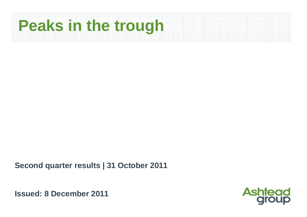# **Peaks in the trough**

**Second quarter results | 31 October 2011**

**Issued: 8 December 2011**

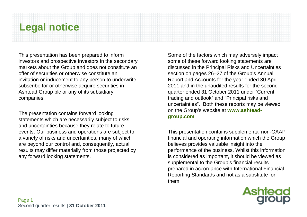# **Legal notice**

This presentation has been prepared to inform investors and prospective investors in the secondary markets about the Group and does not constitute an offer of securities or otherwise constitute an invitation or inducement to any person to underwrite, subscribe for or otherwise acquire securities in Ashtead Group plc or any of its subsidiary companies.

The presentation contains forward looking statements which are necessarily subject to risks and uncertainties because they relate to future events. Our business and operations are subject to a variety of risks and uncertainties, many of which are beyond our control and, consequently, actual results may differ materially from those projected by any forward looking statements.

Some of the factors which may adversely impact some of these forward looking statements are discussed in the Principal Risks and Uncertainties section on pages 26–27 of the Group's Annual Report and Accounts for the year ended 30 April 2011 and in the unaudited results for the second quarter ended 31 October 2011 under "Current trading and outlook" and "Principal risks and uncertainties". Both these reports may be viewed on the Group's website at **www.ashteadgroup.com**

This presentation contains supplemental non-GAAP financial and operating information which the Group believes provides valuable insight into the performance of the business. Whilst this information is considered as important, it should be viewed as supplemental to the Group's financial results prepared in accordance with International Financial Reporting Standards and not as a substitute for them.

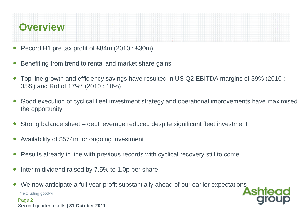

- ●Record H1 pre tax profit of £84m (2010 : £30m)
- ●Benefiting from trend to rental and market share gains
- $\bullet$  Top line growth and efficiency savings have resulted in US Q2 EBITDA margins of 39% (2010 : 35%) and RoI of 17%\* (2010 : 10%)
- ● Good execution of cyclical fleet investment strategy and operational improvements have maximised the opportunity
- ●Strong balance sheet – debt leverage reduced despite significant fleet investment
- ●Availability of \$574m for ongoing investment
- ●Results already in line with previous records with cyclical recovery still to come
- ●Interim dividend raised by 7.5% to 1.0p per share
- ●We now anticipate a full year profit substantially ahead of our earlier expectations

\* excluding goodwill

Page 2 Second quarter results | **31 October 2011**

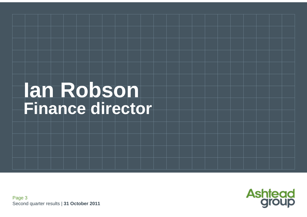# **Ian Robson Finance director**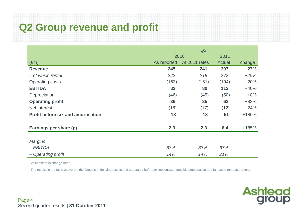# **Q2 Group revenue and profit**

|                                           | Q2          |               |        |                     |
|-------------------------------------------|-------------|---------------|--------|---------------------|
|                                           |             | 2010          | 2011   |                     |
| $(\text{Em})$                             | As reported | At 2011 rates | Actual | change <sup>1</sup> |
| <b>Revenue</b>                            | 245         | 241           | 307    | $+27%$              |
| - of which rental                         | 222         | 218           | 273    | $+25%$              |
| <b>Operating costs</b>                    | (163)       | (161)         | (194)  | $+20%$              |
| <b>EBITDA</b>                             | 82          | 80            | 113    | $+40%$              |
| Depreciation                              | (46)        | (45)          | (50)   | $+8%$               |
| <b>Operating profit</b>                   | 36          | 35            | 63     | +83%                |
| Net interest                              | (18)        | (17)          | (12)   | $-24%$              |
| <b>Profit before tax and amortisation</b> | 18          | 18            | 51     | +186%               |
|                                           |             |               |        |                     |
| Earnings per share (p)                    | 2.3         | 2.3           | 6.4    | $+185%$             |
|                                           |             |               |        |                     |
| <b>Margins</b>                            |             |               |        |                     |
| $-EBITDA$                                 | 33%         | 33%           | 37%    |                     |
| - Operating profit                        | 14%         | 14%           | 21%    |                     |

<sup>1</sup> At constant exchange rates

 $2$  The results in the table above are the Group's underlying results and are stated before exceptionals, intangible amortisation and fair value remeasurements

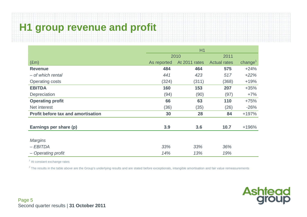# **H1 group revenue and profit**

|                                           | H1          |               |                     |                     |  |
|-------------------------------------------|-------------|---------------|---------------------|---------------------|--|
|                                           |             | 2010          | 2011                |                     |  |
| $(\text{Em})$                             | As reported | At 2011 rates | <b>Actual rates</b> | change <sup>1</sup> |  |
| <b>Revenue</b>                            | 484         | 464           | 575                 | $+24%$              |  |
| - of which rental                         | 441         | 423           | 517                 | $+22%$              |  |
| <b>Operating costs</b>                    | (324)       | (311)         | (368)               | $+19%$              |  |
| <b>EBITDA</b>                             | 160         | 153           | 207                 | $+35%$              |  |
| Depreciation                              | (94)        | (90)          | (97)                | $+7%$               |  |
| <b>Operating profit</b>                   | 66          | 63            | 110                 | $+75%$              |  |
| Net interest                              | (36)        | (35)          | (26)                | $-26%$              |  |
| <b>Profit before tax and amortisation</b> | 30          | 28            | 84                  | $+197%$             |  |
|                                           |             |               |                     |                     |  |
| Earnings per share (p)                    | 3.9         | 3.6           | 10.7                | +196%               |  |
|                                           |             |               |                     |                     |  |
| <b>Margins</b>                            |             |               |                     |                     |  |
| $-EBITDA$                                 | 33%         | 33%           | 36%                 |                     |  |
| - Operating profit                        | 14%         | 13%           | 19%                 |                     |  |

<sup>1</sup> At constant exchange rates

<sup>2</sup> The results in the table above are the Group's underlying results and are stated before exceptionals, intangible amortisation and fair value remeasurements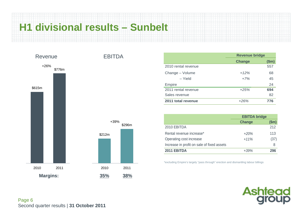# **H1 divisional results – Sunbelt**



|                     | <b>Revenue bridge</b> |       |  |  |
|---------------------|-----------------------|-------|--|--|
|                     | <b>Change</b>         | \$m\$ |  |  |
| 2010 rental revenue |                       | 557   |  |  |
| Change - Volume     | $+12%$                | 68    |  |  |
| - Yield             | $+7%$                 | 45    |  |  |
| Empire              |                       | 24    |  |  |
| 2011 rental revenue | $+25%$                | 694   |  |  |
| Sales revenue       |                       | 82    |  |  |
| 2011 total revenue  | $+26%$                | 776   |  |  |

|                                            | <b>EBITDA</b> bridge |       |  |  |
|--------------------------------------------|----------------------|-------|--|--|
|                                            | <b>Change</b>        | \$m\$ |  |  |
| 2010 EBITDA                                |                      | 212   |  |  |
| Rental revenue increase*                   | $+20%$               | 113   |  |  |
| Operating cost increase                    | $+11%$               | (37)  |  |  |
| Increase in profit on sale of fixed assets |                      | 8     |  |  |
| 2011 EBITDA                                | $+39%$               | 296   |  |  |

\*excluding Empire's largely "pass through" erection and dismantling labour billings

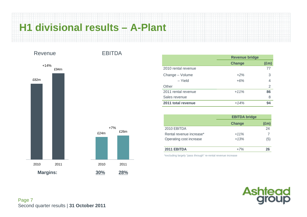# **H1 divisional results – A-Plant**

£26m



|                     | <b>Revenue bridge</b> |                |  |  |
|---------------------|-----------------------|----------------|--|--|
|                     | Change                | $(\text{Em})$  |  |  |
| 2010 rental revenue |                       | 77             |  |  |
| Change - Volume     | $+2\%$                | 3              |  |  |
| - Yield             | $+6%$                 | $\overline{4}$ |  |  |
| Other               |                       | $\overline{2}$ |  |  |
| 2011 rental revenue | $+11%$                | 86             |  |  |
| Sales revenue       |                       | 8              |  |  |
| 2011 total revenue  | $+14%$                | 94             |  |  |

|                          | <b>EBITDA bridge</b> |               |  |  |
|--------------------------|----------------------|---------------|--|--|
|                          | <b>Change</b>        | $(\text{Em})$ |  |  |
| 2010 EBITDA              |                      | 24            |  |  |
| Rental revenue increase* | $+11%$               |               |  |  |
| Operating cost increase  | $+13%$               | (5)           |  |  |
| 2011 EBITDA              | $+7%$                | 26            |  |  |

\*excluding largely "pass through" re-rental revenue increase

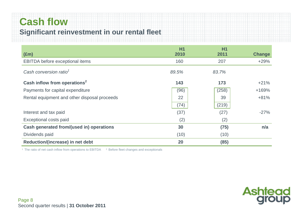# **Cash flow Significant reinvestment in our rental fleet**

| $(\text{Em})$                                | <b>H1</b><br>2010 | <b>H1</b><br>2011 | <b>Change</b> |
|----------------------------------------------|-------------------|-------------------|---------------|
| <b>EBITDA</b> before exceptional items       | 160               | 207               | $+29%$        |
| Cash conversion ratio <sup>1</sup>           | 89.5%             | 83.7%             |               |
| Cash inflow from operations <sup>2</sup>     | 143               | 173               | $+21%$        |
| Payments for capital expenditure             | (96)              | (258)             | +169%         |
| Rental equipment and other disposal proceeds | 22                | 39                | $+81%$        |
|                                              | (74)              | (219)             |               |
| Interest and tax paid                        | (37)              | (27)              | $-27%$        |
| Exceptional costs paid                       | (2)               | (2)               |               |
| Cash generated from/(used in) operations     | 30                | (75)              | n/a           |
| Dividends paid                               | (10)              | (10)              |               |
| Reduction/(increase) in net debt             | 20                | (85)              |               |

<sup>1</sup> The ratio of net cash inflow from operations to  $EBITDA$ <sup> $2$ </sup> Before fleet changes and exceptionals

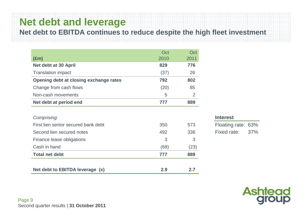# **Net debt and leverage**

**Net debt to EBITDA continues to reduce despite the high fleet investment**

|                                        | Oct  | Oct            |
|----------------------------------------|------|----------------|
| $(\text{Em})$                          | 2010 | 2011           |
| Net debt at 30 April                   | 829  | 776            |
| <b>Translation impact</b>              | (37) | 26             |
| Opening debt at closing exchange rates | 792  | 802            |
| Change from cash flows                 | (20) | 85             |
| Non-cash movements                     | 5    | $\overline{2}$ |
| Net debt at period end                 | 777  | 889            |
|                                        |      |                |
| Comprising:                            |      |                |
| First lien senior secured bank debt    | 350  | 573            |
| Second lien secured notes              | 492  | 336            |
| Finance lease obligations              | 3    | 3              |

Cash in hand  $(68)$   $(23)$ 

Net debt to EBITDA leverage (x) 2.9 2.7

**Total net debt** 777

#### **Interest**

889

Floating rate: 63% Fixed rate: 37%



Page 9 Second quarter results | **31 October 2011**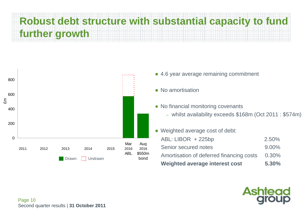# **Robust debt structure with substantial capacity to fund further growth**



- 4.6 year average remaining commitment
- No amortisation
- No financial monitoring covenants
	- whilst availability exceeds \$168m (Oct 2011 : \$574m)
- $\bullet$ Weighted average cost of debt:

| $ABL: LIBOR + 225bp$                     | 2.50%    |
|------------------------------------------|----------|
| Senior secured notes                     | $9.00\%$ |
| Amortisation of deferred financing costs | 0.30%    |
| <b>Weighted average interest cost</b>    | 5.30%    |

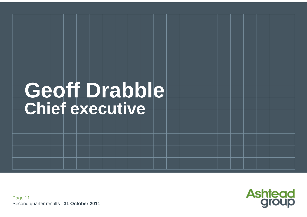# Geoff Drabble **Chief executive**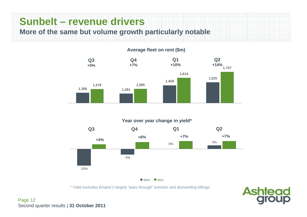# **Sunbelt – revenue drivers**

**More of the same but volume growth particularly notable**

#### **Average fleet on rent (\$m)**



#### **Year over year change in yield\***



 $2010$  2011

\* Yield excludes Empire's largely "pass through" erection and dismantling billings



Page 12 Second quarter results | **31 October 2011**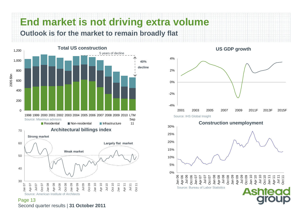# **End market is not driving extra volume Outlook is for the market to remain broadly flat**



Page 13 Second quarter results | **31 October 2011**

#### **US GDP growth**

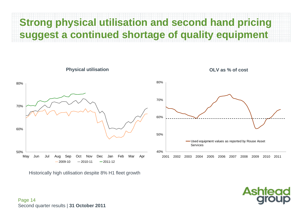# **Strong physical utilisation and second hand pricing suggest a continued shortage of quality equipment**



**Asht** 

Historically high utilisation despite 8% H1 fleet growth

Page 14 Second quarter results | **31 October 2011**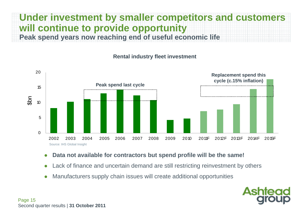## **Under investment by smaller competitors and customers will continue to provide opportunity Peak spend years now reaching end of useful economic life**



#### **Rental industry fleet investment**

- O **Data not available for contractors but spend profile will be the same!**
- O Lack of finance and uncertain demand are still restricting reinvestment by others
- 0 Manufacturers supply chain issues will create additional opportunities

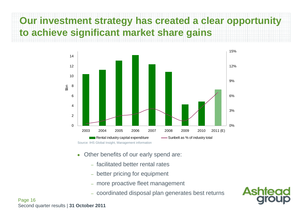# **Our investment strategy has created a clear opportunity to achieve significant market share gains**



- ● Other benefits of our early spend are:
	- facilitated better rental rates
	- better pricing for equipment
	- more proactive fleet management
	- coordinated disposal plan generates best returns



Page 16 Second quarter results | **31 October 2011**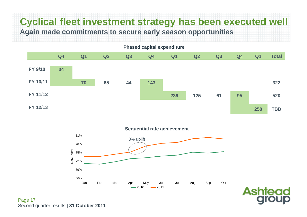# **Cyclical fleet investment strategy has been executed well Again made commitments to secure early season opportunities**



66%69%72% 75% 78%81%Jan Feb Mar Apr May Jun Jul Aug Sep Oct Rate inde x  $-2010$  2011 3% uplift **Sequential rate achievement**



Page 17 Second quarter results | **31 October 2011**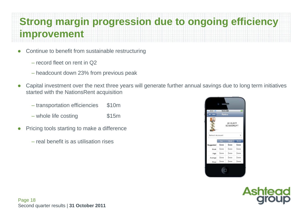# **Strong margin progression due to ongoing efficiency improvement**

- $\bullet$  Continue to benefit from sustainable restructuring
	- record fleet on rent in Q2
	- headcount down 23% from previous peak
- $\bullet$  Capital investment over the next three years will generate further annual savings due to long term initiatives started with the NationsRent acquisition
	- transportation efficiencies \$10m
	- whole life costing  $$15m$
- $\bullet$  Pricing tools starting to make a difference
	- real benefit is as utilisation rises



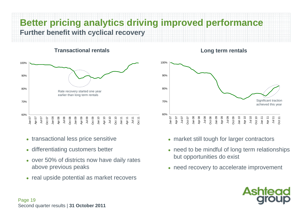# **Better pricing analytics driving improved performance Further benefit with cyclical recovery**

#### **Transactional rentals**



- transactional less price sensitive
- differentiating customers better
- over 50% of districts now have daily rates above previous peaks
- real upside potential as market recovers

#### **Long term rentals**



- market still tough for larger contractors
- need to be mindful of long term relationships but opportunities do exist
- need recovery to accelerate improvement

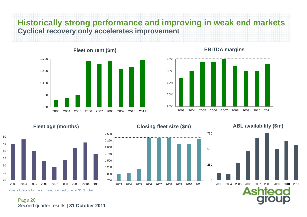# **Historically strong performance and improving in weak end markets Cyclical recovery only accelerates improvement**









#### **Closing fleet size (\$m) Fleet age (months) ABL availability (\$m)**





Page 20 Second quarter results | **31 October 2011**

Note: all data is for the six months ended or as at 31 October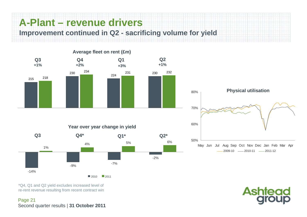# **A-Plant – revenue drivers**

**Improvement continued in Q2 - sacrificing volume for yield**







\*Q4, Q1 and Q2 yield excludes increased level of re-rent revenue resulting from recent contract win

Page 21 Second quarter results | **31 October 2011**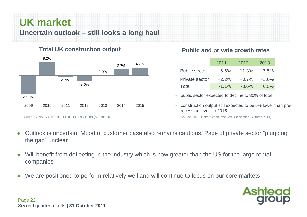# **UK market Uncertain outlook – still looks a long haul**

### **Total UK construction output**



#### Source: ONS, Construction Products Association (Autumn 2011)

### **Public and private growth rates**

|                      | 2011     | 2012      | 2013     |
|----------------------|----------|-----------|----------|
| <b>Public sector</b> | -6.6%    | $-11.3\%$ | $-7.5\%$ |
| Private sector       | $+2.2\%$ | $+0.7\%$  | $+3.6\%$ |
| Total                | $-1.1\%$ | $-3.6\%$  | $0.0\%$  |

- public sector expected to decline to 30% of total
- construction output still expected to be 6% lower than prerecession levels in 2015

Source: ONS, Construction Products Association (Autumn 2011)

- $\bullet$  Outlook is uncertain. Mood of customer base also remains cautious. Pace of private sector "plugging the gap" unclear
- $\bullet$  Will benefit from defleeting in the industry which is now greater than the US for the large rental companies
- $\bullet$ We are positioned to perform relatively well and will continue to focus on our core markets

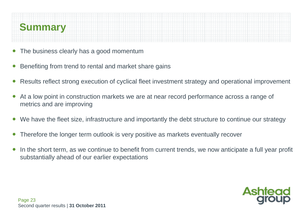

- ●The business clearly has a good momentum
- ●Benefiting from trend to rental and market share gains
- ●Results reflect strong execution of cyclical fleet investment strategy and operational improvement
- ● At a low point in construction markets we are at near record performance across a range of metrics and are improving
- ●We have the fleet size, infrastructure and importantly the debt structure to continue our strategy
- ●Therefore the longer term outlook is very positive as markets eventually recover
- ● In the short term, as we continue to benefit from current trends, we now anticipate a full year profit substantially ahead of our earlier expectations

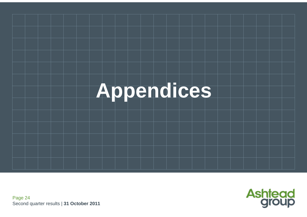



Page 24 Second quarter results | **31 October 2011**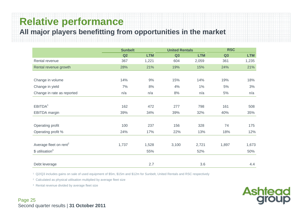## **Relative performance**

**All major players benefitting from opportunities in the market**

|                                    | <b>Sunbelt</b> |            | <b>United Rentals</b> |            | <b>RSC</b> |            |
|------------------------------------|----------------|------------|-----------------------|------------|------------|------------|
|                                    | Q2             | <b>LTM</b> | Q3                    | <b>LTM</b> | Q3         | <b>LTM</b> |
| Rental revenue                     | 367            | 1,221      | 604                   | 2,059      | 361        | 1,235      |
| Rental revenue growth              | 28%            | 21%        | 19%                   | 15%        | 24%        | 21%        |
|                                    |                |            |                       |            |            |            |
| Change in volume                   | 14%            | 9%         | 15%                   | 14%        | 19%        | 18%        |
| Change in yield                    | 7%             | 8%         | 4%                    | $1\%$      | 5%         | 3%         |
| Change in rate as reported         | n/a            | n/a        | 8%                    | n/a        | 5%         | n/a        |
|                                    |                |            |                       |            |            |            |
| EBITDA <sup>1</sup>                | 162            | 472        | 277                   | 798        | 161        | 508        |
| <b>EBITDA</b> margin               | 39%            | 34%        | 39%                   | 32%        | 40%        | 35%        |
|                                    |                |            |                       |            |            |            |
| Operating profit                   | 100            | 237        | 156                   | 328        | 74         | 175        |
| Operating profit %                 | 24%            | 17%        | 22%                   | 13%        | 18%        | 12%        |
|                                    |                |            |                       |            |            |            |
| Average fleet on rent <sup>2</sup> | 1,737          | 1,528      | 3,100                 | 2,721      | 1,897      | 1,673      |
| $$$ utilisation <sup>3</sup>       |                | 55%        |                       | 52%        |            | 50%        |
|                                    |                |            |                       |            |            |            |
| Debt leverage                      |                | 2.7        |                       | 3.6        |            | 4.4        |

**Ashtead**<br>group

1 Q2/Q3 includes gains on sale of used equipment of \$5m, \$15m and \$12m for Sunbelt, United Rentals and RSC respectively

2 Calculated as physical utilisation multiplied by average fleet size

<sup>3</sup> Rental revenue divided by average fleet size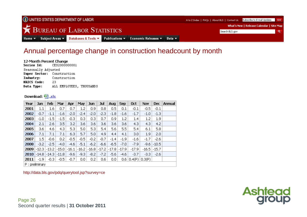

### Annual percentage change in construction headcount by month

#### 12-Month Percent Change

Series Id: CES2000000001 Seasonally Adjusted Super Sector: Construction Industry: Construction **NAICS Code:** 23 ALL EMPLOYEES, THOUSANDS Data Type:

#### Download: <u>델.xls</u>

| Year             | Jan     | Feb     | Mar     | Apr     | <b>May</b> | <b>Jun</b> | Jul     | Aug     | Sep              | <b>Oct</b> | <b>Nov</b> | <b>Dec</b> | Annual |
|------------------|---------|---------|---------|---------|------------|------------|---------|---------|------------------|------------|------------|------------|--------|
| 2001             | 1.1     | 1.6     | 0.7     | 0.7     | 1.2        | 0.9        | 0.8     | 0.5     | 0.1              | $-0.1$     | $-0.5$     | $-0.1$     |        |
| 2002             | $-0.7$  | $-1.1$  | $-1.6$  | $-2.0$  | $-2.4$     | $-2.0$     | $-2.3$  | $-1.8$  | $-1.6$           | $-1.7$     | $-1.0$     | $-1.3$     |        |
| 2003             | $-1.0$  | $-1.5$  | $-1.5$  | $-0.3$  | 0.3        | 0.3        | 0.7     | 0.9     | 1.2              | 1.4        | 1.2        | 1.9        |        |
| 2004             | 2.1     | 2.6     | 3.5     | 3.2     | 3.6        | 3.6        | 3.6     | 3.6     | 3.6              | 4.3        | 4.3        | 4.2        |        |
| 2005             | 3.6     | 4.6     | 4.3     | 5.3     | 5.0        | 5.3        | 5.4     | 5.6     | 5.5              | 5.4        | 6.1        | 5.8        |        |
| 2006             | 7.1     | 7.1     | 7.1     | 6.3     | 5.7        | 5.0        | 4.9     | 4,4     | 4.1              | 3.0        | 1.9        | 2.0        |        |
| 2007             | $1.5\,$ | $-0.6$  | 0.2     | $-0.5$  | $-0.5$     | $-0.2$     | $-0.7$  | $-1.4$  | $-1.9$           | $-1.6$     | $-1.7$     | $-2.6$     |        |
| 2008             | $-3.2$  | $-2.5$  | $-4.0$  | $-4.6$  | $-5.1$     | $-6.2$     | $-6.6$  | $-6.5$  | $-7.0$           | $-7.9$     | -9.6       | $-10.5$    |        |
| 2009             | -12.3   | $-13.2$ | $-15.0$ | $-16.1$ | $-16.2$    | $-16.8$    | $-17.2$ | $-17.8$ | $-17.9$          | $-17.9$    | -16.5      | $-15.7$    |        |
| 2010             | $-14.8$ | $-14.3$ | $-11.8$ | $-9.6$  | $-9.3$     | $-8.2$     | $-7.2$  | $-5.6$  | -4.6             | $-3.7$     | -3.3       | $-2.6$     |        |
| 2011             | $-1.9$  | $-0.3$  | $-0.5$  | $-0.7$  | 0.0        | 0.2        | 0.6     | 0.0     | 0.6 <sub>1</sub> | 0.4(P)     | 0.3(P)     |            |        |
| $P:$ preliminary |         |         |         |         |            |            |         |         |                  |            |            |            |        |

http://data.bls.gov/pdq/querytool.jsp?survey=ce



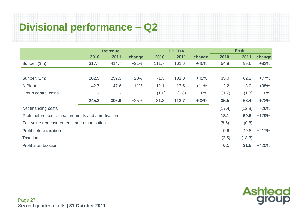# **Divisional performance – Q2**

|                                                    | <b>Revenue</b> |       |        |       | <b>EBITDA</b> |        | <b>Profit</b> |        |         |  |
|----------------------------------------------------|----------------|-------|--------|-------|---------------|--------|---------------|--------|---------|--|
|                                                    | 2010           | 2011  | change | 2010  | 2011          | change | 2010          | 2011   | change  |  |
| Sunbelt (\$m)                                      | 317.7          | 414.7 | $+31%$ | 111.7 | 161.6         | $+45%$ | 54.8          | 99.6   | $+82%$  |  |
|                                                    |                |       |        |       |               |        |               |        |         |  |
| Sunbelt (£m)                                       | 202.5          | 259.3 | $+28%$ | 71.3  | 101.0         | $+42%$ | 35.0          | 62.2   | $+77%$  |  |
| A-Plant                                            | 42.7           | 47.6  | $+11%$ | 12.1  | 13.5          | $+11%$ | 2.2           | 3.0    | $+38%$  |  |
| Group central costs                                | ٠              | ٠     |        | (1.6) | (1.8)         | $+6%$  | (1.7)         | (1.8)  | $+6%$   |  |
|                                                    | 245.2          | 306.9 | $+25%$ | 81.8  | 112.7         | $+38%$ | 35.5          | 63.4   | +78%    |  |
| Net financing costs                                |                |       |        |       |               |        | (17.4)        | (12.8) | $-26%$  |  |
| Profit before tax, remeasurements and amortisation |                |       |        |       |               |        | 18.1          | 50.6   | $+179%$ |  |
| Fair value remeasurements and amortisation         |                |       |        |       |               |        | (8.5)         | (0.8)  |         |  |
| Profit before taxation                             |                |       |        |       |               |        | 9.6           | 49.8   | $+417%$ |  |
| <b>Taxation</b>                                    |                |       |        |       |               |        | (3.5)         | (18.3) |         |  |
| Profit after taxation                              |                |       |        |       |               |        | 6.1           | 31.5   | $+420%$ |  |

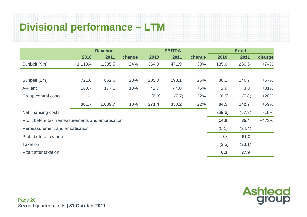# **Divisional performance – LTM**

|                                                    | <b>Revenue</b>           |         |        |       | <b>EBITDA</b> |        | <b>Profit</b> |        |        |  |
|----------------------------------------------------|--------------------------|---------|--------|-------|---------------|--------|---------------|--------|--------|--|
|                                                    | 2010                     | 2011    | change | 2010  | 2011          | change | 2010          | 2011   | change |  |
| Sunbelt (\$m)                                      | 1,119.4                  | 1,385.5 | $+24%$ | 364.0 | 471.9         | $+30%$ | 135.6         | 236.6  | $+74%$ |  |
|                                                    |                          |         |        |       |               |        |               |        |        |  |
| Sunbelt (£m)                                       | 721.0                    | 862.6   | $+20%$ | 235.0 | 293.1         | $+25%$ | 88.1          | 146.7  | $+67%$ |  |
| A-Plant                                            | 160.7                    | 177.1   | $+10%$ | 42.7  | 44.8          | $+5%$  | 2.9           | 3.8    | $+31%$ |  |
| Group central costs                                | $\overline{\phantom{a}}$ |         |        | (6.3) | (7.7)         | $+22%$ | (6.5)         | (7.8)  | $+20%$ |  |
|                                                    | 881.7                    | 1,039.7 | $+18%$ | 271.4 | 330.2         | $+22%$ | 84.5          | 142.7  | +69%   |  |
| Net financing costs                                |                          |         |        |       |               |        | (69.6)        | (57.3) | $-18%$ |  |
| Profit before tax, remeasurements and amortisation |                          |         |        | 14.9  | 85.4          | +473%  |               |        |        |  |
| Remeasurement and amortisation                     |                          |         |        |       |               | (5.1)  | (24.4)        |        |        |  |
| Profit before taxation                             |                          |         |        |       |               |        | 9.8           | 61.0   |        |  |
| <b>Taxation</b>                                    |                          |         |        |       |               |        | (3.5)         | (23.1) |        |  |
| Profit after taxation                              |                          |         |        |       |               |        | 6.3           | 37.9   |        |  |

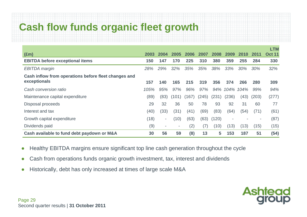# **Cash flow funds organic fleet growth**

|                                                      |      |                          |        |       |       |       |       |      |       | <b>LTM</b>    |
|------------------------------------------------------|------|--------------------------|--------|-------|-------|-------|-------|------|-------|---------------|
| $(\text{Em})$                                        | 2003 | 2004                     | 2005   | 2006  | 2007  | 2008  | 2009  | 2010 | 2011  | <b>Oct 11</b> |
| <b>EBITDA before exceptional items</b>               | 150  | 147                      | 170    | 225   | 310   | 380   | 359   | 255  | 284   | 330           |
| <b>EBITDA</b> margin                                 | 28%  | 29%                      | $32\%$ | 35%   | 35%   | 38%   | 33%   | 30%  | 30%   | 32%           |
| Cash inflow from operations before fleet changes and |      |                          |        |       |       |       |       |      |       |               |
| exceptionals                                         | 157  | 140                      | 165    | 215   | 319   | 356   | 374   | 266  | 280   | 309           |
| Cash conversion ratio                                | 105% | 95%                      | 97%    | 96%   | 97%   | 94%   | 104%  | 104% | 99%   | 94%           |
| Maintenance capital expenditure                      | (89) | (83)                     | (101)  | (167) | (245) | (231) | (236) | (43) | (203) | (277)         |
| Disposal proceeds                                    | 29   | 32                       | 36     | 50    | 78    | 93    | 92    | 31   | 60    | 77            |
| Interest and tax                                     | (40) | (33)                     | (31)   | (41)  | (69)  | (83)  | (64)  | (54) | (71)  | (61)          |
| Growth capital expenditure                           | (18) | $\overline{\phantom{a}}$ | (10)   | (63)  | (63)  | (120) |       |      |       | (87)          |
| Dividends paid                                       | (9)  | $\overline{\phantom{a}}$ | $\sim$ | (2)   | (7)   | (10)  | (13)  | (13) | (15)  | (15)          |
| Cash available to fund debt paydown or M&A           |      | 56                       | 59     | (8)   | 13    | 5     | 153   | 187  | 51    | (54)          |

- ●Healthy EBITDA margins ensure significant top line cash generation throughout the cycle
- $\bullet$ Cash from operations funds organic growth investment, tax, interest and dividends
- ●Historically, debt has only increased at times of large scale M&A

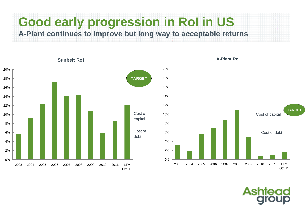# **Good early progression in RoI in US A-Plant continues to improve but long way to acceptable returns**





**Sunbelt RoI A-Plant RoI**